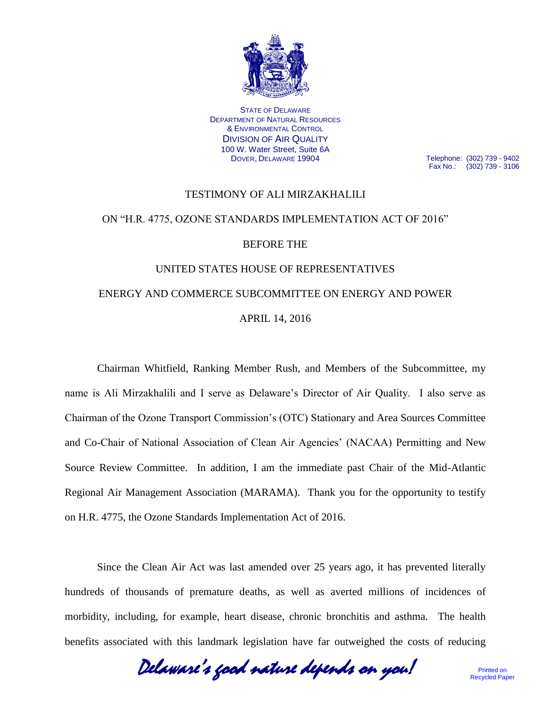

STATE OF DELAWARE DEPARTMENT OF NATURAL RESOURCES & ENVIRONMENTAL CONTROL DIVISION OF AIR QUALITY 100 W. Water Street, Suite 6A DOVER, DELAWARE 19904

Telephone: (302) 739 - 9402 Fax No.: (302) 739 - 3106

## TESTIMONY OF ALI MIRZAKHALILI

## ON "H.R. 4775, OZONE STANDARDS IMPLEMENTATION ACT OF 2016"

## BEFORE THE

## UNITED STATES HOUSE OF REPRESENTATIVES ENERGY AND COMMERCE SUBCOMMITTEE ON ENERGY AND POWER

APRIL 14, 2016

Chairman Whitfield, Ranking Member Rush, and Members of the Subcommittee, my name is Ali Mirzakhalili and I serve as Delaware's Director of Air Quality. I also serve as Chairman of the Ozone Transport Commission's (OTC) Stationary and Area Sources Committee and Co-Chair of National Association of Clean Air Agencies' (NACAA) Permitting and New Source Review Committee. In addition, I am the immediate past Chair of the Mid-Atlantic Regional Air Management Association (MARAMA). Thank you for the opportunity to testify on H.R. 4775, the Ozone Standards Implementation Act of 2016.

Since the Clean Air Act was last amended over 25 years ago, it has prevented literally hundreds of thousands of premature deaths, as well as averted millions of incidences of morbidity, including, for example, heart disease, chronic bronchitis and asthma. The health benefits associated with this landmark legislation have far outweighed the costs of reducing

Delaware's good nature depends on you!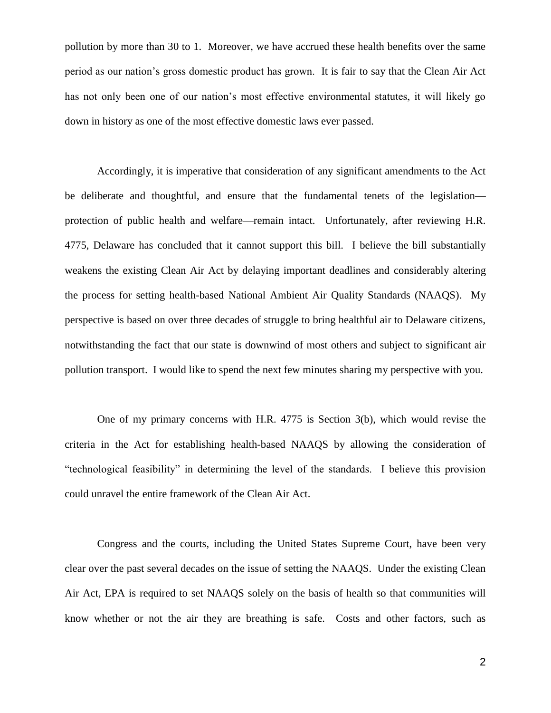pollution by more than 30 to 1. Moreover, we have accrued these health benefits over the same period as our nation's gross domestic product has grown. It is fair to say that the Clean Air Act has not only been one of our nation's most effective environmental statutes, it will likely go down in history as one of the most effective domestic laws ever passed.

Accordingly, it is imperative that consideration of any significant amendments to the Act be deliberate and thoughtful, and ensure that the fundamental tenets of the legislation protection of public health and welfare—remain intact. Unfortunately, after reviewing H.R. 4775, Delaware has concluded that it cannot support this bill. I believe the bill substantially weakens the existing Clean Air Act by delaying important deadlines and considerably altering the process for setting health-based National Ambient Air Quality Standards (NAAQS). My perspective is based on over three decades of struggle to bring healthful air to Delaware citizens, notwithstanding the fact that our state is downwind of most others and subject to significant air pollution transport. I would like to spend the next few minutes sharing my perspective with you.

One of my primary concerns with H.R. 4775 is Section 3(b), which would revise the criteria in the Act for establishing health-based NAAQS by allowing the consideration of "technological feasibility" in determining the level of the standards. I believe this provision could unravel the entire framework of the Clean Air Act.

Congress and the courts, including the United States Supreme Court, have been very clear over the past several decades on the issue of setting the NAAQS. Under the existing Clean Air Act, EPA is required to set NAAQS solely on the basis of health so that communities will know whether or not the air they are breathing is safe. Costs and other factors, such as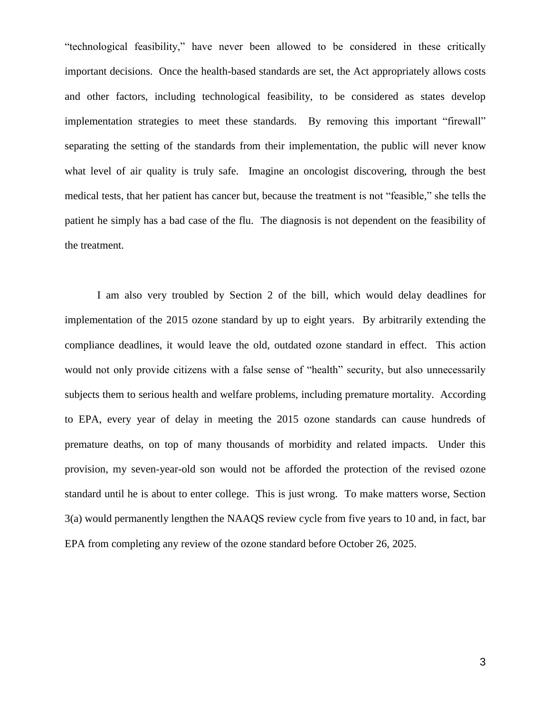"technological feasibility," have never been allowed to be considered in these critically important decisions. Once the health-based standards are set, the Act appropriately allows costs and other factors, including technological feasibility, to be considered as states develop implementation strategies to meet these standards. By removing this important "firewall" separating the setting of the standards from their implementation, the public will never know what level of air quality is truly safe. Imagine an oncologist discovering, through the best medical tests, that her patient has cancer but, because the treatment is not "feasible," she tells the patient he simply has a bad case of the flu. The diagnosis is not dependent on the feasibility of the treatment.

I am also very troubled by Section 2 of the bill, which would delay deadlines for implementation of the 2015 ozone standard by up to eight years. By arbitrarily extending the compliance deadlines, it would leave the old, outdated ozone standard in effect. This action would not only provide citizens with a false sense of "health" security, but also unnecessarily subjects them to serious health and welfare problems, including premature mortality. According to EPA, every year of delay in meeting the 2015 ozone standards can cause hundreds of premature deaths, on top of many thousands of morbidity and related impacts. Under this provision, my seven-year-old son would not be afforded the protection of the revised ozone standard until he is about to enter college. This is just wrong. To make matters worse, Section 3(a) would permanently lengthen the NAAQS review cycle from five years to 10 and, in fact, bar EPA from completing any review of the ozone standard before October 26, 2025.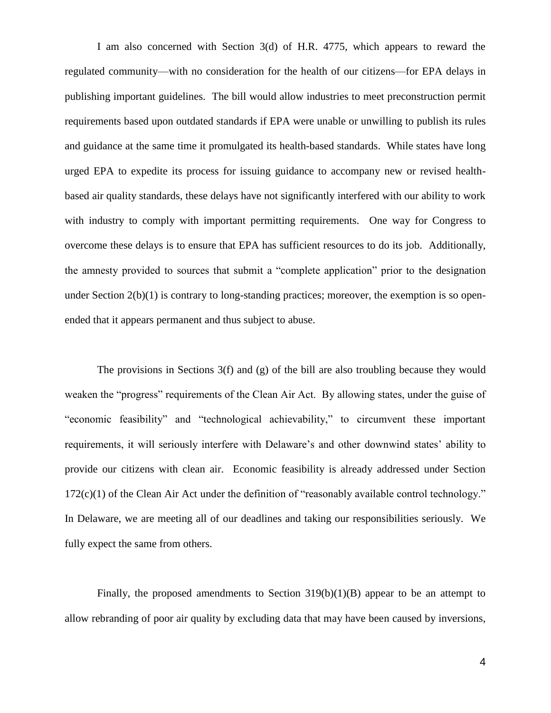I am also concerned with Section 3(d) of H.R. 4775, which appears to reward the regulated community—with no consideration for the health of our citizens—for EPA delays in publishing important guidelines. The bill would allow industries to meet preconstruction permit requirements based upon outdated standards if EPA were unable or unwilling to publish its rules and guidance at the same time it promulgated its health-based standards. While states have long urged EPA to expedite its process for issuing guidance to accompany new or revised healthbased air quality standards, these delays have not significantly interfered with our ability to work with industry to comply with important permitting requirements. One way for Congress to overcome these delays is to ensure that EPA has sufficient resources to do its job. Additionally, the amnesty provided to sources that submit a "complete application" prior to the designation under Section  $2(b)(1)$  is contrary to long-standing practices; moreover, the exemption is so openended that it appears permanent and thus subject to abuse.

The provisions in Sections  $3(f)$  and (g) of the bill are also troubling because they would weaken the "progress" requirements of the Clean Air Act. By allowing states, under the guise of "economic feasibility" and "technological achievability," to circumvent these important requirements, it will seriously interfere with Delaware's and other downwind states' ability to provide our citizens with clean air. Economic feasibility is already addressed under Section 172(c)(1) of the Clean Air Act under the definition of "reasonably available control technology." In Delaware, we are meeting all of our deadlines and taking our responsibilities seriously. We fully expect the same from others.

Finally, the proposed amendments to Section 319(b)(1)(B) appear to be an attempt to allow rebranding of poor air quality by excluding data that may have been caused by inversions,